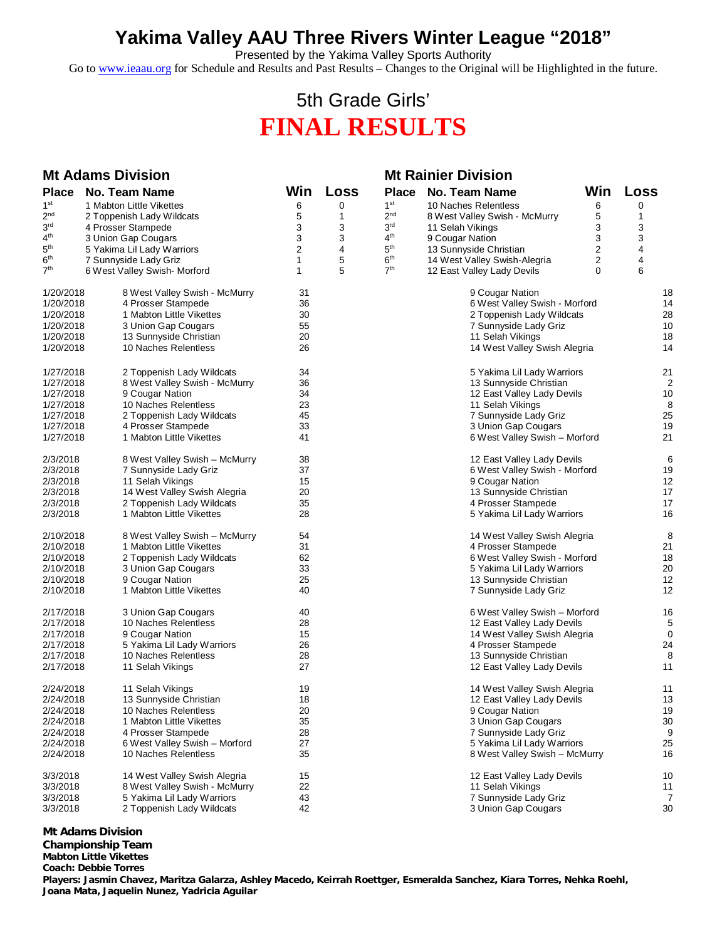## **Yakima Valley AAU Three Rivers Winter League "2018"**

Presented by the Yakima Valley Sports Authority

Go to [www.ieaau.org](http://www.ieaau.org) for Schedule and Results and Past Results – Changes to the Original will be Highlighted in the future.

## 5th Grade Girls' **FINAL RESULTS**

| <b>Mt Adams Division</b> |                                               |                         |              | <b>Mt Rainier Division</b> |                                                 |                         |                |
|--------------------------|-----------------------------------------------|-------------------------|--------------|----------------------------|-------------------------------------------------|-------------------------|----------------|
| <b>Place</b>             | <b>No. Team Name</b>                          | Win                     | Loss         | <b>Place</b>               | <b>No. Team Name</b>                            | Win                     | Loss           |
| 1 <sup>st</sup>          | 1 Mabton Little Vikettes                      | 6                       | 0            | 1 <sup>st</sup>            | 10 Naches Relentless                            | 6                       | 0              |
| $2^{\mathsf{nd}}$        | 2 Toppenish Lady Wildcats                     | 5                       | $\mathbf{1}$ | 2 <sub>nd</sub>            | 8 West Valley Swish - McMurry                   | 5                       | 1              |
| 3 <sup>rd</sup>          | 4 Prosser Stampede                            | 3                       | 3            | 3 <sup>rd</sup>            | 11 Selah Vikings                                | 3                       | 3              |
| 4 <sup>th</sup>          | 3 Union Gap Cougars                           | 3                       | 3            | 4 <sup>th</sup>            | 9 Cougar Nation                                 | 3                       | 3              |
| 5 <sup>th</sup>          | 5 Yakima Lil Lady Warriors                    | $\overline{\mathbf{c}}$ | 4            | 5 <sup>th</sup>            | 13 Sunnyside Christian                          | $\overline{\mathbf{c}}$ | 4              |
| 6 <sup>th</sup>          | 7 Sunnyside Lady Griz                         | 1                       | 5            | 6 <sup>th</sup>            | 14 West Valley Swish-Alegria                    | 2                       | 4              |
| 7 <sup>th</sup>          | 6 West Valley Swish-Morford                   | 1                       | 5            | 7 <sup>th</sup>            | 12 East Valley Lady Devils                      | 0                       | 6              |
| 1/20/2018                | 8 West Valley Swish - McMurry                 | 31                      |              |                            | 9 Cougar Nation                                 |                         | 18             |
| 1/20/2018                | 4 Prosser Stampede                            | 36                      |              |                            | 6 West Valley Swish - Morford                   |                         | 14             |
| 1/20/2018                | 1 Mabton Little Vikettes                      | 30                      |              |                            | 2 Toppenish Lady Wildcats                       |                         | 28             |
| 1/20/2018                | 3 Union Gap Cougars                           | 55                      |              |                            | 7 Sunnyside Lady Griz                           |                         | 10             |
| 1/20/2018                | 13 Sunnyside Christian                        | 20                      |              |                            | 11 Selah Vikings                                |                         | 18             |
| 1/20/2018                | 10 Naches Relentless                          | 26                      |              |                            | 14 West Valley Swish Alegria                    |                         | 14             |
| 1/27/2018                | 2 Toppenish Lady Wildcats                     | 34                      |              |                            | 5 Yakima Lil Lady Warriors                      |                         | 21             |
| 1/27/2018                | 8 West Valley Swish - McMurry                 | 36                      |              |                            | 13 Sunnyside Christian                          |                         | $\overline{2}$ |
| 1/27/2018                | 9 Cougar Nation                               | 34                      |              |                            | 12 East Valley Lady Devils                      |                         | 10             |
| 1/27/2018                | 10 Naches Relentless                          | 23                      |              |                            | 11 Selah Vikings                                |                         | 8              |
| 1/27/2018                | 2 Toppenish Lady Wildcats                     | 45                      |              |                            | 7 Sunnyside Lady Griz                           |                         | 25             |
| 1/27/2018<br>1/27/2018   | 4 Prosser Stampede                            | 33<br>41                |              |                            | 3 Union Gap Cougars                             |                         | 19<br>21       |
|                          | 1 Mabton Little Vikettes                      |                         |              |                            | 6 West Valley Swish - Morford                   |                         |                |
| 2/3/2018                 | 8 West Valley Swish – McMurry                 | 38                      |              |                            | 12 East Valley Lady Devils                      |                         | 6              |
| 2/3/2018                 | 7 Sunnyside Lady Griz                         | 37                      |              |                            | 6 West Valley Swish - Morford                   |                         | 19             |
| 2/3/2018                 | 11 Selah Vikings                              | 15                      |              |                            | 9 Cougar Nation                                 |                         | 12             |
| 2/3/2018                 | 14 West Valley Swish Alegria                  | 20                      |              |                            | 13 Sunnyside Christian                          |                         | 17             |
| 2/3/2018                 | 2 Toppenish Lady Wildcats                     | 35                      |              |                            | 4 Prosser Stampede                              |                         | 17             |
| 2/3/2018                 | 1 Mabton Little Vikettes                      | 28                      |              |                            | 5 Yakima Lil Lady Warriors                      |                         | 16             |
| 2/10/2018                | 8 West Valley Swish - McMurry                 | 54                      |              |                            | 14 West Valley Swish Alegria                    |                         | 8              |
| 2/10/2018                | 1 Mabton Little Vikettes                      | 31                      |              |                            | 4 Prosser Stampede                              |                         | 21             |
| 2/10/2018                | 2 Toppenish Lady Wildcats                     | 62                      |              |                            | 6 West Valley Swish - Morford                   |                         | 18             |
| 2/10/2018                | 3 Union Gap Cougars                           | 33                      |              |                            | 5 Yakima Lil Lady Warriors                      |                         | 20             |
| 2/10/2018<br>2/10/2018   | 9 Cougar Nation<br>1 Mabton Little Vikettes   | 25<br>40                |              |                            | 13 Sunnyside Christian<br>7 Sunnyside Lady Griz |                         | 12<br>12       |
| 2/17/2018                | 3 Union Gap Cougars                           | 40                      |              |                            | 6 West Valley Swish - Morford                   |                         | 16             |
| 2/17/2018                | 10 Naches Relentless                          | 28                      |              |                            | 12 East Valley Lady Devils                      |                         | 5              |
| 2/17/2018                |                                               | 15                      |              |                            | 14 West Valley Swish Alegria                    |                         | 0              |
| 2/17/2018                | 9 Cougar Nation<br>5 Yakima Lil Lady Warriors | 26                      |              |                            | 4 Prosser Stampede                              |                         | 24             |
| 2/17/2018                | 10 Naches Relentless                          | 28                      |              |                            | 13 Sunnyside Christian                          |                         | 8              |
| 2/17/2018                | 11 Selah Vikings                              | 27                      |              |                            | 12 East Valley Lady Devils                      |                         | 11             |
| 2/24/2018                | 11 Selah Vikings                              | 19                      |              |                            | 14 West Valley Swish Alegria                    |                         | 11             |
| 2/24/2018                | 13 Sunnyside Christian                        | 18                      |              |                            | 12 East Valley Lady Devils                      |                         | 13             |
| 2/24/2018                | 10 Naches Relentless                          | 20                      |              |                            | 9 Cougar Nation                                 |                         | 19             |
| 2/24/2018                | 1 Mabton Little Vikettes                      | 35                      |              |                            | 3 Union Gap Cougars                             |                         | 30             |
| 2/24/2018                | 4 Prosser Stampede                            | 28                      |              |                            | 7 Sunnyside Lady Griz                           |                         | 9              |
| 2/24/2018                | 6 West Valley Swish - Morford                 | 27                      |              |                            | 5 Yakima Lil Lady Warriors                      |                         | 25             |
| 2/24/2018                | 10 Naches Relentless                          | 35                      |              |                            | 8 West Valley Swish - McMurry                   |                         | 16             |
| 3/3/2018                 | 14 West Valley Swish Alegria                  | 15                      |              |                            | 12 East Valley Lady Devils                      |                         | 10             |
| 3/3/2018                 | 8 West Valley Swish - McMurry                 | 22                      |              |                            | 11 Selah Vikings                                |                         | 11             |
| 3/3/2018                 | 5 Yakima Lil Lady Warriors                    | 43                      |              |                            | 7 Sunnyside Lady Griz                           |                         | 7              |
| 3/3/2018                 | 2 Toppenish Lady Wildcats                     | 42                      |              |                            | 3 Union Gap Cougars                             |                         | 30             |

**Mt Adams Division**

**Championship Team Mabton Little Vikettes Coach: Debbie Torres Players: Jasmin Chavez, Maritza Galarza, Ashley Macedo, Keirrah Roettger, Esmeralda Sanchez, Kiara Torres, Nehka Roehl, Joana Mata, Jaquelin Nunez, Yadricia Aguilar**